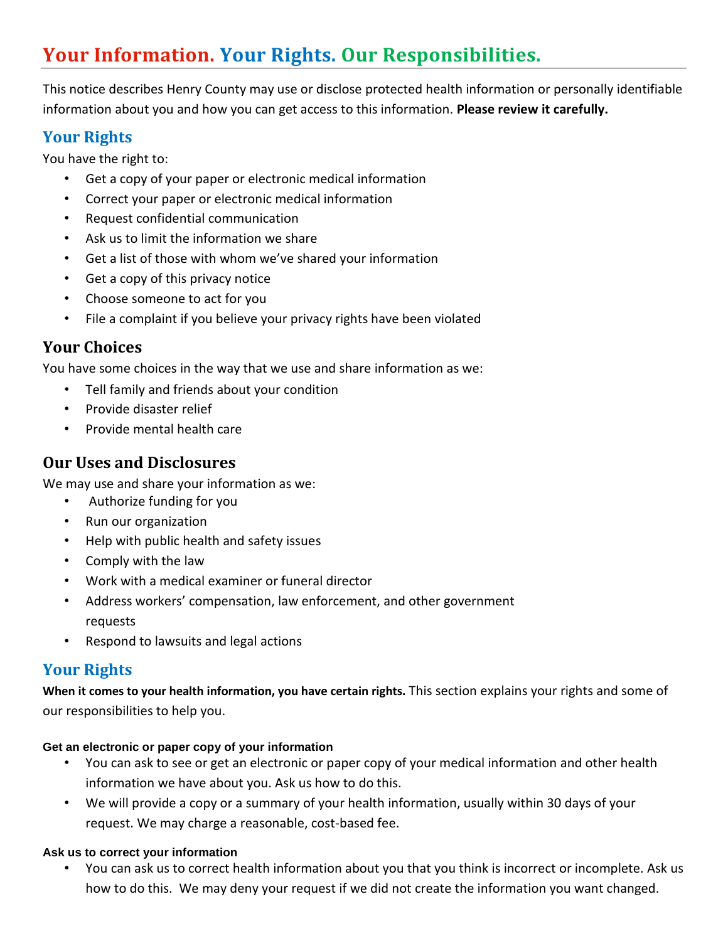# **Your Information. Your Rights. Our Responsibilities.**

This notice describes Henry County may use or disclose protected health information or personally identifiable information about you and how you can get access to this information. **Please review it carefully.**

### **Your Rights**

You have the right to:

- Get a copy of your paper or electronic medical information
- Correct your paper or electronic medical information
- Request confidential communication
- Ask us to limit the information we share
- Get a list of those with whom we've shared your information
- Get a copy of this privacy notice
- Choose someone to act for you
- File a complaint if you believe your privacy rights have been violated

# **Your Choices**

You have some choices in the way that we use and share information as we:

- Tell family and friends about your condition
- Provide disaster relief
- Provide mental health care

# **Our Uses and Disclosures**

We may use and share your information as we:

- Authorize funding for you
- Run our organization
- Help with public health and safety issues
- Comply with the law
- Work with a medical examiner or funeral director
- Address workers' compensation, law enforcement, and other government requests
- Respond to lawsuits and legal actions

### **Your Rights**

**When it comes to your health information, you have certain rights.** This section explains your rights and some of our responsibilities to help you.

### **Get an electronic or paper copy of your information**

- You can ask to see or get an electronic or paper copy of your medical information and other health information we have about you. Ask us how to do this.
- We will provide a copy or a summary of your health information, usually within 30 days of your request. We may charge a reasonable, cost-based fee.

### **Ask us to correct your information**

• You can ask us to correct health information about you that you think is incorrect or incomplete. Ask us how to do this. We may deny your request if we did not create the information you want changed.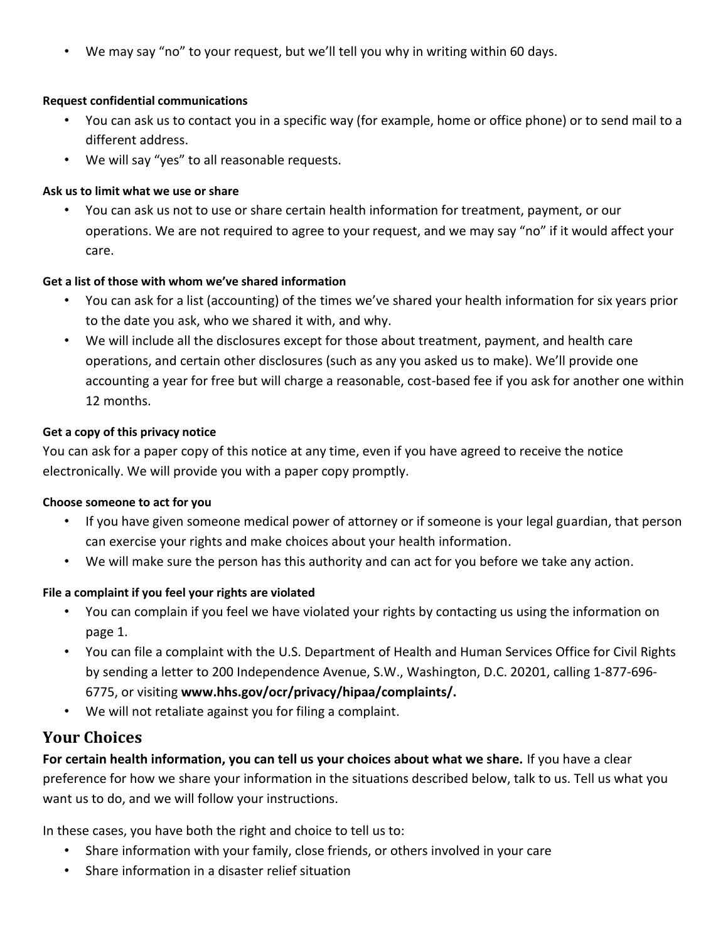• We may say "no" to your request, but we'll tell you why in writing within 60 days.

#### **Request confidential communications**

- You can ask us to contact you in a specific way (for example, home or office phone) or to send mail to a different address.
- We will say "yes" to all reasonable requests.

### **Ask us to limit what we use or share**

• You can ask us not to use or share certain health information for treatment, payment, or our operations. We are not required to agree to your request, and we may say "no" if it would affect your care.

### **Get a list of those with whom we've shared information**

- You can ask for a list (accounting) of the times we've shared your health information for six years prior to the date you ask, who we shared it with, and why.
- We will include all the disclosures except for those about treatment, payment, and health care operations, and certain other disclosures (such as any you asked us to make). We'll provide one accounting a year for free but will charge a reasonable, cost-based fee if you ask for another one within 12 months.

### **Get a copy of this privacy notice**

You can ask for a paper copy of this notice at any time, even if you have agreed to receive the notice electronically. We will provide you with a paper copy promptly.

### **Choose someone to act for you**

- If you have given someone medical power of attorney or if someone is your legal guardian, that person can exercise your rights and make choices about your health information.
- We will make sure the person has this authority and can act for you before we take any action.

### **File a complaint if you feel your rights are violated**

- You can complain if you feel we have violated your rights by contacting us using the information on page 1.
- You can file a complaint with the U.S. Department of Health and Human Services Office for Civil Rights by sending a letter to 200 Independence Avenue, S.W., Washington, D.C. 20201, calling 1-877-696- 6775, or visiting **www.hhs.gov/ocr/privacy/hipaa/complaints/.**
- We will not retaliate against you for filing a complaint.

# **Your Choices**

**For certain health information, you can tell us your choices about what we share.** If you have a clear preference for how we share your information in the situations described below, talk to us. Tell us what you want us to do, and we will follow your instructions.

In these cases, you have both the right and choice to tell us to:

- Share information with your family, close friends, or others involved in your care
- Share information in a disaster relief situation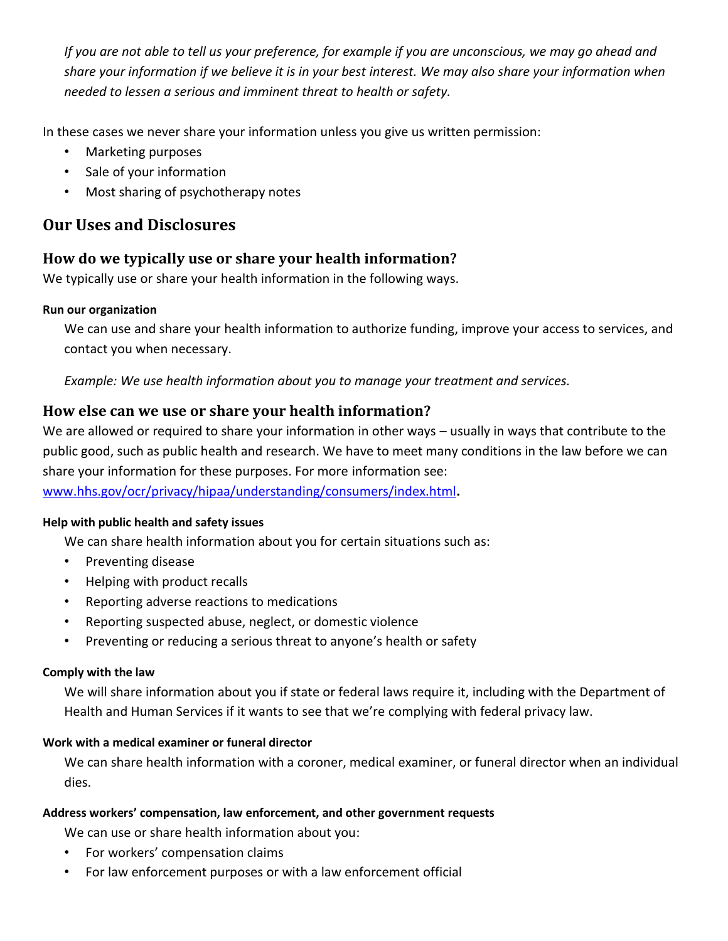*If you are not able to tell us your preference, for example if you are unconscious, we may go ahead and share your information if we believe it is in your best interest. We may also share your information when needed to lessen a serious and imminent threat to health or safety.*

In these cases we never share your information unless you give us written permission:

- Marketing purposes
- Sale of your information
- Most sharing of psychotherapy notes

# **Our Uses and Disclosures**

### **How do we typically use or share your health information?**

We typically use or share your health information in the following ways.

### **Run our organization**

We can use and share your health information to authorize funding, improve your access to services, and contact you when necessary.

*Example: We use health information about you to manage your treatment and services.* 

### **How else can we use or share your health information?**

We are allowed or required to share your information in other ways – usually in ways that contribute to the public good, such as public health and research. We have to meet many conditions in the law before we can share your information for these purposes. For more information see:

[www.hhs.gov/ocr/privacy/hipaa/understanding/consumers/index.html](http://www.hhs.gov/ocr/privacy/hipaa/understanding/consumers/index.html)**.**

### **Help with public health and safety issues**

We can share health information about you for certain situations such as:

- Preventing disease
- Helping with product recalls
- Reporting adverse reactions to medications
- Reporting suspected abuse, neglect, or domestic violence
- Preventing or reducing a serious threat to anyone's health or safety

### **Comply with the law**

We will share information about you if state or federal laws require it, including with the Department of Health and Human Services if it wants to see that we're complying with federal privacy law.

### **Work with a medical examiner or funeral director**

We can share health information with a coroner, medical examiner, or funeral director when an individual dies.

### **Address workers' compensation, law enforcement, and other government requests**

We can use or share health information about you:

- For workers' compensation claims
- For law enforcement purposes or with a law enforcement official